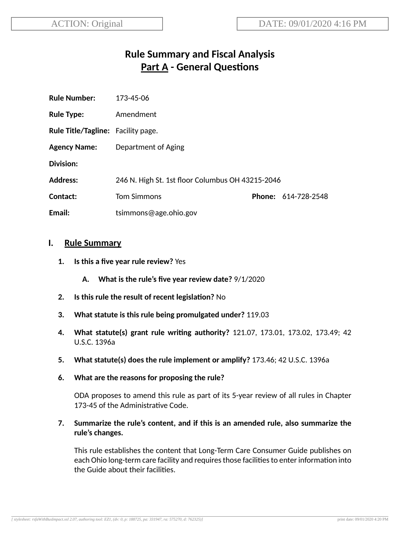# **Rule Summary and Fiscal Analysis Part A - General Questions**

| <b>Rule Number:</b>                       | 173-45-06                                        |  |                     |
|-------------------------------------------|--------------------------------------------------|--|---------------------|
| <b>Rule Type:</b>                         | Amendment                                        |  |                     |
| <b>Rule Title/Tagline:</b> Facility page. |                                                  |  |                     |
| <b>Agency Name:</b>                       | Department of Aging                              |  |                     |
| <b>Division:</b>                          |                                                  |  |                     |
| <b>Address:</b>                           | 246 N. High St. 1st floor Columbus OH 43215-2046 |  |                     |
| Contact:                                  | <b>Tom Simmons</b>                               |  | Phone: 614-728-2548 |
| Email:                                    | tsimmons@age.ohio.gov                            |  |                     |

#### **I. Rule Summary**

- **1. Is this a five year rule review?** Yes
	- **A. What is the rule's five year review date?** 9/1/2020
- **2.** Is this rule the result of recent legislation? No
- **3. What statute is this rule being promulgated under?** 119.03
- **4. What statute(s) grant rule wring authority?** 121.07, 173.01, 173.02, 173.49; 42 U.S.C. 1396a
- **5. What statute(s) does the rule implement or amplify?** 173.46; 42 U.S.C. 1396a
- **6. What are the reasons for proposing the rule?**

ODA proposes to amend this rule as part of its 5-year review of all rules in Chapter 173-45 of the Administrative Code.

**7. Summarize the rule's content, and if this is an amended rule, also summarize the rule's changes.**

This rule establishes the content that Long-Term Care Consumer Guide publishes on each Ohio long-term care facility and requires those facilities to enter information into the Guide about their facilities.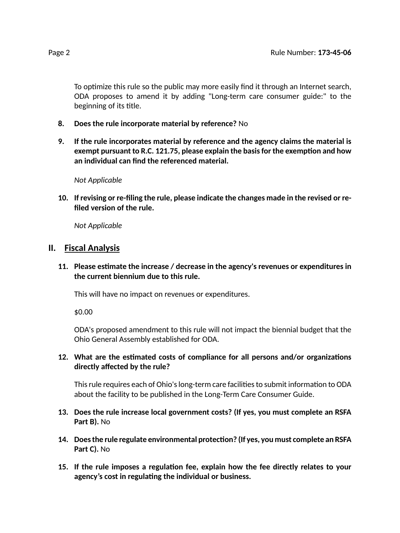To optimize this rule so the public may more easily find it through an Internet search, ODA proposes to amend it by adding "Long-term care consumer guide:" to the beginning of its title.

- **8. Does the rule incorporate material by reference?** No
- **9. If the rule incorporates material by reference and the agency claims the material is exempt pursuant to R.C. 121.75, please explain the basisfor the exempon and how an individual can find the referenced material.**

*Not Applicable*

**10. If revising or re-filing the rule, please indicate the changes made in the revised or refiled version of the rule.**

*Not Applicable*

#### **II. Fiscal Analysis**

**11. Please esmate the increase / decrease in the agency's revenues or expenditures in the current biennium due to this rule.**

This will have no impact on revenues or expenditures.

\$0.00

ODA's proposed amendment to this rule will not impact the biennial budget that the Ohio General Assembly established for ODA.

**12.** What are the estimated costs of compliance for all persons and/or organizations **directly affected by the rule?**

This rule requires each of Ohio's long-term care facilities to submit information to ODA about the facility to be published in the Long-Term Care Consumer Guide.

- **13. Does the rule increase local government costs? (If yes, you must complete an RSFA Part B).** No
- **14. Doesthe rule regulate environmental protecon? (If yes, you must complete an RSFA Part C).** No
- **15. If the rule imposes a regulaon fee, explain how the fee directly relates to your agency's cost in regulang the individual or business.**